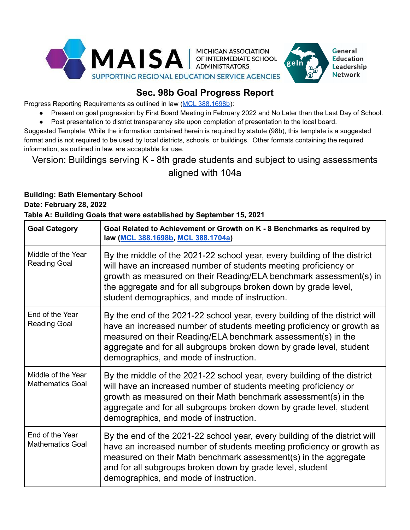

# **Sec. 98b Goal Progress Report**

Progress Reporting Requirements as outlined in law ([MCL 388.1698b\)](https://legislature.mi.gov/(S(gnjkhui0gmmxno0qfdlmilq2))/mileg.aspx?page=getObject&objectName=mcl-388-1698b):

● Present on goal progression by First Board Meeting in February 2022 and No Later than the Last Day of School.

General **Education** Leadership **Network** 

● Post presentation to district transparency site upon completion of presentation to the local board.

Suggested Template: While the information contained herein is required by statute (98b), this template is a suggested format and is not required to be used by local districts, schools, or buildings. Other formats containing the required information, as outlined in law, are acceptable for use.

# Version: Buildings serving K - 8th grade students and subject to using assessments aligned with 104a

#### **Building: Bath Elementary School**

#### **Date: February 28, 2022 Table A: Building Goals that were established by September 15, 2021**

| <b>Goal Category</b>                          | Goal Related to Achievement or Growth on K - 8 Benchmarks as required by<br>law (MCL 388.1698b, MCL 388.1704a)                                                                                                                                                                                                                          |
|-----------------------------------------------|-----------------------------------------------------------------------------------------------------------------------------------------------------------------------------------------------------------------------------------------------------------------------------------------------------------------------------------------|
| Middle of the Year<br><b>Reading Goal</b>     | By the middle of the 2021-22 school year, every building of the district<br>will have an increased number of students meeting proficiency or<br>growth as measured on their Reading/ELA benchmark assessment(s) in<br>the aggregate and for all subgroups broken down by grade level,<br>student demographics, and mode of instruction. |
| End of the Year<br><b>Reading Goal</b>        | By the end of the 2021-22 school year, every building of the district will<br>have an increased number of students meeting proficiency or growth as<br>measured on their Reading/ELA benchmark assessment(s) in the<br>aggregate and for all subgroups broken down by grade level, student<br>demographics, and mode of instruction.    |
| Middle of the Year<br><b>Mathematics Goal</b> | By the middle of the 2021-22 school year, every building of the district<br>will have an increased number of students meeting proficiency or<br>growth as measured on their Math benchmark assessment(s) in the<br>aggregate and for all subgroups broken down by grade level, student<br>demographics, and mode of instruction.        |
| End of the Year<br><b>Mathematics Goal</b>    | By the end of the 2021-22 school year, every building of the district will<br>have an increased number of students meeting proficiency or growth as<br>measured on their Math benchmark assessment(s) in the aggregate<br>and for all subgroups broken down by grade level, student<br>demographics, and mode of instruction.           |